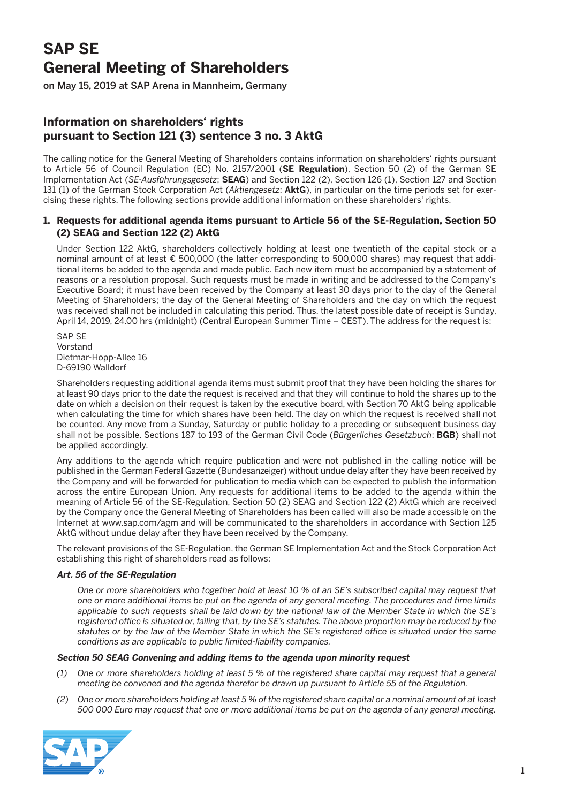# **SAP SE General Meeting of Shareholders**

on May 15, 2019 at SAP Arena in Mannheim, Germany

# **Information on shareholders' rights pursuant to Section 121 (3) sentence 3 no. 3 AktG**

The calling notice for the General Meeting of Shareholders contains information on shareholders' rights pursuant to Article 56 of Council Regulation (EC) No. 2157/2001 (**SE Regulation**), Section 50 (2) of the German SE Implementation Act (*SE-Ausführungsgesetz*; **SEAG**) and Section 122 (2), Section 126 (1), Section 127 and Section 131 (1) of the German Stock Corporation Act (*Aktiengesetz*; **AktG**), in particular on the time periods set for exercising these rights. The following sections provide additional information on these shareholders' rights.

# **1. Requests for additional agenda items pursuant to Article 56 of the SE-Regulation, Section 50 (2) SEAG and Section 122 (2) AktG**

 Under Section 122 AktG, shareholders collectively holding at least one twentieth of the capital stock or a nominal amount of at least € 500,000 (the latter corresponding to 500,000 shares) may request that additional items be added to the agenda and made public. Each new item must be accompanied by a statement of reasons or a resolution proposal. Such requests must be made in writing and be addressed to the Company's Executive Board; it must have been received by the Company at least 30 days prior to the day of the General Meeting of Shareholders; the day of the General Meeting of Shareholders and the day on which the request was received shall not be included in calculating this period. Thus, the latest possible date of receipt is Sunday, April 14, 2019, 24.00 hrs (midnight) (Central European Summer Time – CEST). The address for the request is:

 SAP SE Vorstand Dietmar-Hopp-Allee 16 D-69190 Walldorf

 Shareholders requesting additional agenda items must submit proof that they have been holding the shares for at least 90 days prior to the date the request is received and that they will continue to hold the shares up to the date on which a decision on their request is taken by the executive board, with Section 70 AktG being applicable when calculating the time for which shares have been held. The day on which the request is received shall not be counted. Any move from a Sunday, Saturday or public holiday to a preceding or subsequent business day shall not be possible. Sections 187 to 193 of the German Civil Code (*Bürgerliches Gesetzbuch*; **BGB**) shall not be applied accordingly.

 Any additions to the agenda which require publication and were not published in the calling notice will be published in the German Federal Gazette (Bundesanzeiger) without undue delay after they have been received by the Company and will be forwarded for publication to media which can be expected to publish the information across the entire European Union. Any requests for additional items to be added to the agenda within the meaning of Article 56 of the SE-Regulation, Section 50 (2) SEAG and Section 122 (2) AktG which are received by the Company once the General Meeting of Shareholders has been called will also be made accessible on the Internet at www.sap.com/agm and will be communicated to the shareholders in accordance with Section 125 AktG without undue delay after they have been received by the Company.

 The relevant provisions of the SE-Regulation, the German SE Implementation Act and the Stock Corporation Act establishing this right of shareholders read as follows:

### **Art. 56 of the SE-Regulation**

 *One or more shareholders who together hold at least 10 % of an SE's subscribed capital may request that one or more additional items be put on the agenda of any general meeting. The procedures and time limits applicable to such requests shall be laid down by the national law of the Member State in which the SE's registered office is situated or, failing that, by the SE's statutes. The above proportion may be reduced by the statutes or by the law of the Member State in which the SE's registered office is situated under the same conditions as are applicable to public limited-liability companies.*

### **Section 50 SEAG Convening and adding items to the agenda upon minority request**

- *(1) One or more shareholders holding at least 5 % of the registered share capital may request that a general meeting be convened and the agenda therefor be drawn up pursuant to Article 55 of the Regulation.*
- *(2) One or more shareholders holding at least 5 % of the registered share capital or a nominal amount of at least 500 000 Euro may request that one or more additional items be put on the agenda of any general meeting.*

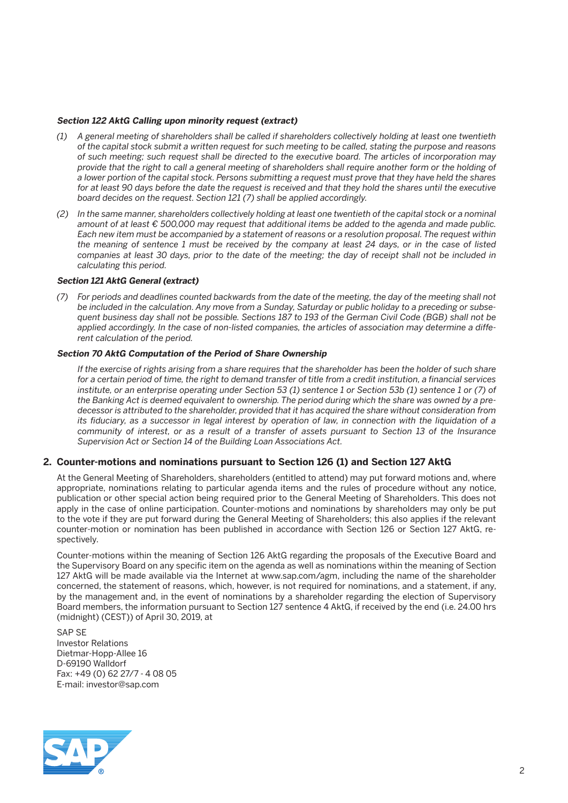## **Section 122 AktG Calling upon minority request (extract)**

- *(1) A general meeting of shareholders shall be called if shareholders collectively holding at least one twentieth of the capital stock submit a written request for such meeting to be called, stating the purpose and reasons of such meeting; such request shall be directed to the executive board. The articles of incorporation may provide that the right to call a general meeting of shareholders shall require another form or the holding of a lower portion of the capital stock. Persons submitting a request must prove that they have held the shares*  for at least 90 days before the date the request is received and that they hold the shares until the executive *board decides on the request. Section 121 (7) shall be applied accordingly.*
- *(2) In the same manner, shareholders collectively holding at least one twentieth of the capital stock or a nominal amount of at least € 500,000 may request that additional items be added to the agenda and made public. Each new item must be accompanied by a statement of reasons or a resolution proposal. The request within the meaning of sentence 1 must be received by the company at least 24 days, or in the case of listed companies at least 30 days, prior to the date of the meeting; the day of receipt shall not be included in calculating this period.*

#### **Section 121 AktG General (extract)**

 *(7) For periods and deadlines counted backwards from the date of the meeting, the day of the meeting shall not be included in the calculation. Any move from a Sunday, Saturday or public holiday to a preceding or subsequent business day shall not be possible. Sections 187 to 193 of the German Civil Code (BGB) shall not be applied accordingly. In the case of non-listed companies, the articles of association may determine a different calculation of the period.*

#### **Section 70 AktG Computation of the Period of Share Ownership**

 *If the exercise of rights arising from a share requires that the shareholder has been the holder of such share for a certain period of time, the right to demand transfer of title from a credit institution, a financial services institute, or an enterprise operating under Section 53 (1) sentence 1 or Section 53b (1) sentence 1 or (7) of the Banking Act is deemed equivalent to ownership. The period during which the share was owned by a predecessor is attributed to the shareholder, provided that it has acquired the share without consideration from its fiduciary, as a successor in legal interest by operation of law, in connection with the liquidation of a community of interest, or as a result of a transfer of assets pursuant to Section 13 of the Insurance Supervision Act or Section 14 of the Building Loan Associations Act.*

### **2. Counter-motions and nominations pursuant to Section 126 (1) and Section 127 AktG**

 At the General Meeting of Shareholders, shareholders (entitled to attend) may put forward motions and, where appropriate, nominations relating to particular agenda items and the rules of procedure without any notice, publication or other special action being required prior to the General Meeting of Shareholders. This does not apply in the case of online participation. Counter-motions and nominations by shareholders may only be put to the vote if they are put forward during the General Meeting of Shareholders; this also applies if the relevant counter-motion or nomination has been published in accordance with Section 126 or Section 127 AktG, respectively.

 Counter-motions within the meaning of Section 126 AktG regarding the proposals of the Executive Board and the Supervisory Board on any specific item on the agenda as well as nominations within the meaning of Section 127 AktG will be made available via the Internet at www.sap.com/agm, including the name of the shareholder concerned, the statement of reasons, which, however, is not required for nominations, and a statement, if any, by the management and, in the event of nominations by a shareholder regarding the election of Supervisory Board members, the information pursuant to Section 127 sentence 4 AktG, if received by the end (i.e. 24.00 hrs (midnight) (CEST)) of April 30, 2019, at

 SAP SE Investor Relations Dietmar-Hopp-Allee 16 D-69190 Walldorf Fax: +49 (0) 62 27/7 - 4 08 05 E-mail: investor@sap.com

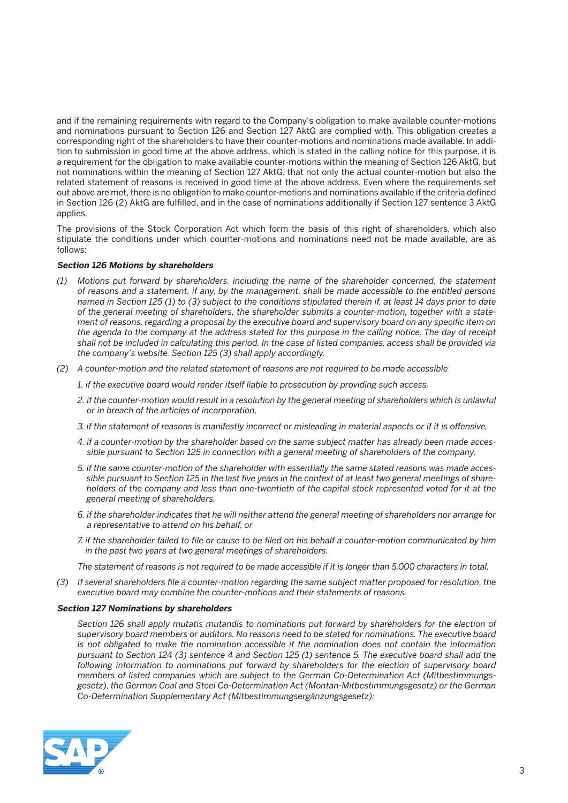and if the remaining requirements with regard to the Company's obligation to make available counter-motions and nominations pursuant to Section 126 and Section 127 AktG are complied with. This obligation creates a corresponding right of the shareholders to have their counter-motions and nominations made available. In addition to submission in good time at the above address, which is stated in the calling notice for this purpose, it is a requirement for the obligation to make available counter-motions within the meaning of Section 126 AktG, but not nominations within the meaning of Section 127 AktG, that not only the actual counter-motion but also the related statement of reasons is received in good time at the above address. Even where the requirements set out above are met, there is no obligation to make counter-motions and nominations available if the criteria defined in Section 126 (2) AktG are fulfilled, and in the case of nominations additionally if Section 127 sentence 3 AktG applies.

 The provisions of the Stock Corporation Act which form the basis of this right of shareholders, which also stipulate the conditions under which counter-motions and nominations need not be made available, are as follows:

### **Section 126 Motions by shareholders**

- *(1) Motions put forward by shareholders, including the name of the shareholder concerned, the statement of reasons and a statement, if any, by the management, shall be made accessible to the entitled persons named in Section 125 (1) to (3) subject to the conditions stipulated therein if, at least 14 days prior to date of the general meeting of shareholders, the shareholder submits a counter-motion, together with a statement of reasons, regarding a proposal by the executive board and supervisory board on any specific item on the agenda to the company at the address stated for this purpose in the calling notice. The day of receipt shall not be included in calculating this period. In the case of listed companies, access shall be provided via the company's website. Section 125 (3) shall apply accordingly.*
- *(2) A counter-motion and the related statement of reasons are not required to be made accessible* 
	- *1. if the executive board would render itself liable to prosecution by providing such access,*
	- *2. if the counter-motion would result in a resolution by the general meeting of shareholders which is unlawful or in breach of the articles of incorporation,*
	- *3. if the statement of reasons is manifestly incorrect or misleading in material aspects or if it is offensive,*
	- *4. if a counter-motion by the shareholder based on the same subject matter has already been made accessible pursuant to Section 125 in connection with a general meeting of shareholders of the company,*
	- *5. if the same counter-motion of the shareholder with essentially the same stated reasons was made accessible pursuant to Section 125 in the last five years in the context of at least two general meetings of shareholders of the company and less than one-twentieth of the capital stock represented voted for it at the general meeting of shareholders,*
	- *6. if the shareholder indicates that he will neither attend the general meeting of shareholders nor arrange for a representative to attend on his behalf, or*
	- *7. if the shareholder failed to file or cause to be filed on his behalf a counter-motion communicated by him in the past two years at two general meetings of shareholders.*
	- *The statement of reasons is not required to be made accessible if it is longer than 5,000 characters in total.*
- *(3) If several shareholders file a counter-motion regarding the same subject matter proposed for resolution, the executive board may combine the counter-motions and their statements of reasons.*

#### **Section 127 Nominations by shareholders**

 *Section 126 shall apply mutatis mutandis to nominations put forward by shareholders for the election of supervisory board members or auditors. No reasons need to be stated for nominations. The executive board is not obligated to make the nomination accessible if the nomination does not contain the information pursuant to Section 124 (3) sentence 4 and Section 125 (1) sentence 5. The executive board shall add the following information to nominations put forward by shareholders for the election of supervisory board members of listed companies which are subject to the German Co-Determination Act (Mitbestimmungsgesetz), the German Coal and Steel Co-Determination Act (Montan-Mitbestimmungsgesetz) or the German Co-Determination Supplementary Act (Mitbestimmungsergänzungsgesetz):*

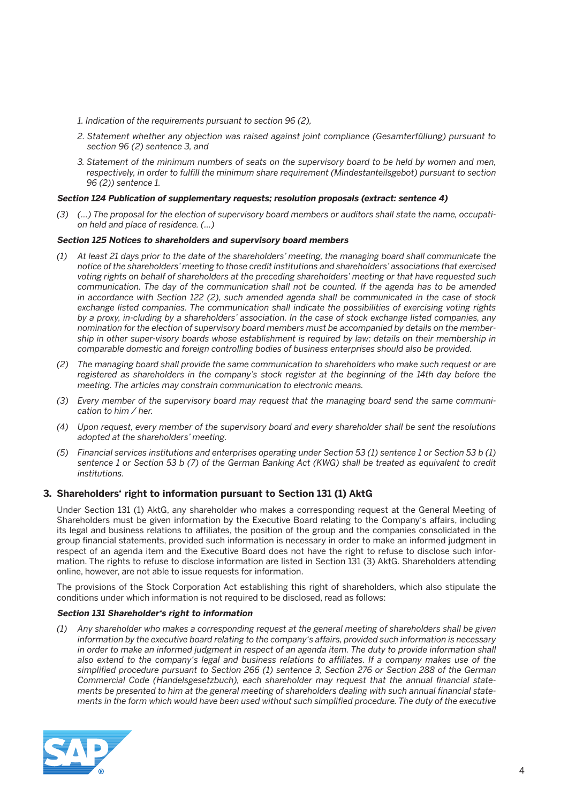- *1. Indication of the requirements pursuant to section 96 (2),*
- *2. Statement whether any objection was raised against joint compliance (Gesamterfüllung) pursuant to section 96 (2) sentence 3, and*
- *3. Statement of the minimum numbers of seats on the supervisory board to be held by women and men, respectively, in order to fulfill the minimum share requirement (Mindestanteilsgebot) pursuant to section 96 (2)) sentence 1.*

### **Section 124 Publication of supplementary requests; resolution proposals (extract: sentence 4)**

 *(3) (...) The proposal for the election of supervisory board members or auditors shall state the name, occupation held and place of residence. (...)* 

### **Section 125 Notices to shareholders and supervisory board members**

- *(1) At least 21 days prior to the date of the shareholders' meeting, the managing board shall communicate the notice of the shareholders' meeting to those credit institutions and shareholders' associations that exercised voting rights on behalf of shareholders at the preceding shareholders' meeting or that have requested such communication. The day of the communication shall not be counted. If the agenda has to be amended in accordance with Section 122 (2), such amended agenda shall be communicated in the case of stock exchange listed companies. The communication shall indicate the possibilities of exercising voting rights by a proxy, in-cluding by a shareholders' association. In the case of stock exchange listed companies, any nomination for the election of supervisory board members must be accompanied by details on the membership in other super-visory boards whose establishment is required by law; details on their membership in comparable domestic and foreign controlling bodies of business enterprises should also be provided.*
- *(2) The managing board shall provide the same communication to shareholders who make such request or are*  registered as shareholders in the company's stock register at the beginning of the 14th day before the *meeting. The articles may constrain communication to electronic means.*
- *(3) Every member of the supervisory board may request that the managing board send the same communication to him / her.*
- *(4) Upon request, every member of the supervisory board and every shareholder shall be sent the resolutions adopted at the shareholders' meeting.*
- *(5) Financial services institutions and enterprises operating under Section 53 (1) sentence 1 or Section 53 b (1) sentence 1 or Section 53 b (7) of the German Banking Act (KWG) shall be treated as equivalent to credit institutions.*

### **3. Shareholders' right to information pursuant to Section 131 (1) AktG**

 Under Section 131 (1) AktG, any shareholder who makes a corresponding request at the General Meeting of Shareholders must be given information by the Executive Board relating to the Company's affairs, including its legal and business relations to affiliates, the position of the group and the companies consolidated in the group financial statements, provided such information is necessary in order to make an informed judgment in respect of an agenda item and the Executive Board does not have the right to refuse to disclose such information. The rights to refuse to disclose information are listed in Section 131 (3) AktG. Shareholders attending online, however, are not able to issue requests for information.

 The provisions of the Stock Corporation Act establishing this right of shareholders, which also stipulate the conditions under which information is not required to be disclosed, read as follows:

### **Section 131 Shareholder's right to information**

 *(1) Any shareholder who makes a corresponding request at the general meeting of shareholders shall be given information by the executive board relating to the company's affairs, provided such information is necessary in order to make an informed judgment in respect of an agenda item. The duty to provide information shall also extend to the company's legal and business relations to affiliates. If a company makes use of the simplified procedure pursuant to Section 266 (1) sentence 3, Section 276 or Section 288 of the German Commercial Code (Handelsgesetzbuch), each shareholder may request that the annual financial statements be presented to him at the general meeting of shareholders dealing with such annual financial statements in the form which would have been used without such simplified procedure. The duty of the executive*